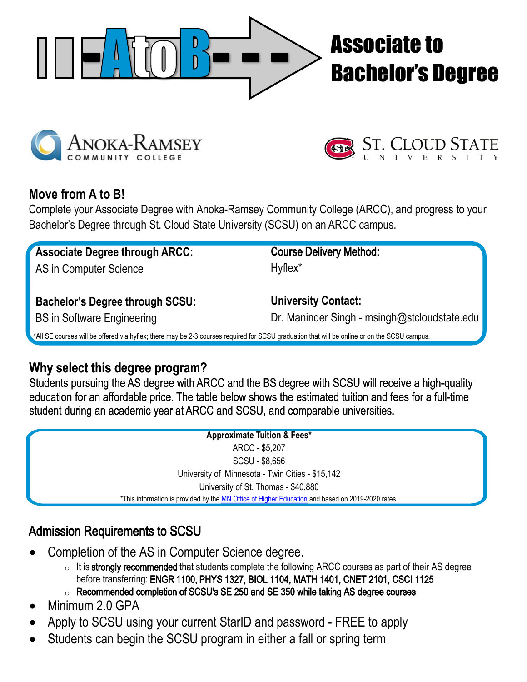

# Associate to Bachelor's Degree





## **Move from A to B!**

Complete your Associate Degree with Anoka-Ramsey Community College (ARCC), and progress to your Bachelor's Degree through St. Cloud State University (SCSU) on an ARCC campus.

| <b>Associate Degree through ARCC:</b>                                       | <b>Course Delivery Method:</b>                                                                                              |
|-----------------------------------------------------------------------------|-----------------------------------------------------------------------------------------------------------------------------|
| AS in Computer Science                                                      | Hyflex* on Rapids Campus                                                                                                    |
| <b>Bachelor's Degree through SCSU:</b><br><b>BS in Software Engineering</b> | <b>University Contact:</b><br>Dr. Maninder Singh - msingh@stcloudstate.edu<br>Dr. Omar Al-Azzam - oalazzam@stcloudstate.edu |

All SE courses will be offered via hyflex; there may be 2-3 courses required for SCSU graduation that will be online or on the SCSU campus

## **Why select this degree program?**

Students pursuing the AS degree with ARCC and the BS degree with SCSU will receive a high-quality education for an affordable price. The table below shows the estimated tuition and fees for a full-time student during an academic year at ARCC and SCSU, and comparable universities.

> **Approximate Tuition & Fees** ARCC - \$6,000 SCSU - \$9,200 \*University of Minnesota - Twin Cities - \$15,142 \*Unive[rsity of St. Thomas - \\$40,](http://www.ohe.state.mn.us/spages/TuitionChart.cfm?State=MN&pageID=101)880 \*This information is provided by the MN Office of Higher Education and based on 2019-2020 rates.

### Admission Requirements to SCSU

- Completion of the AS in Computer Science degree.
	- o Students should also complete the following ARCC courses as part of their AS degree before transferring: ENGR 1100, PHYS 1327, BIOL 1104, MATH 1401, CNET 2101, CSCI 1125
	- o Recommended completion of SCSU's SE 250 and SE 350 while taking AS degree courses
- Minimum 2.0 GPA
- Apply to SCSU using your current StarID and password FREE to apply
- Students can begin the SCSU program in either a fall or spring term